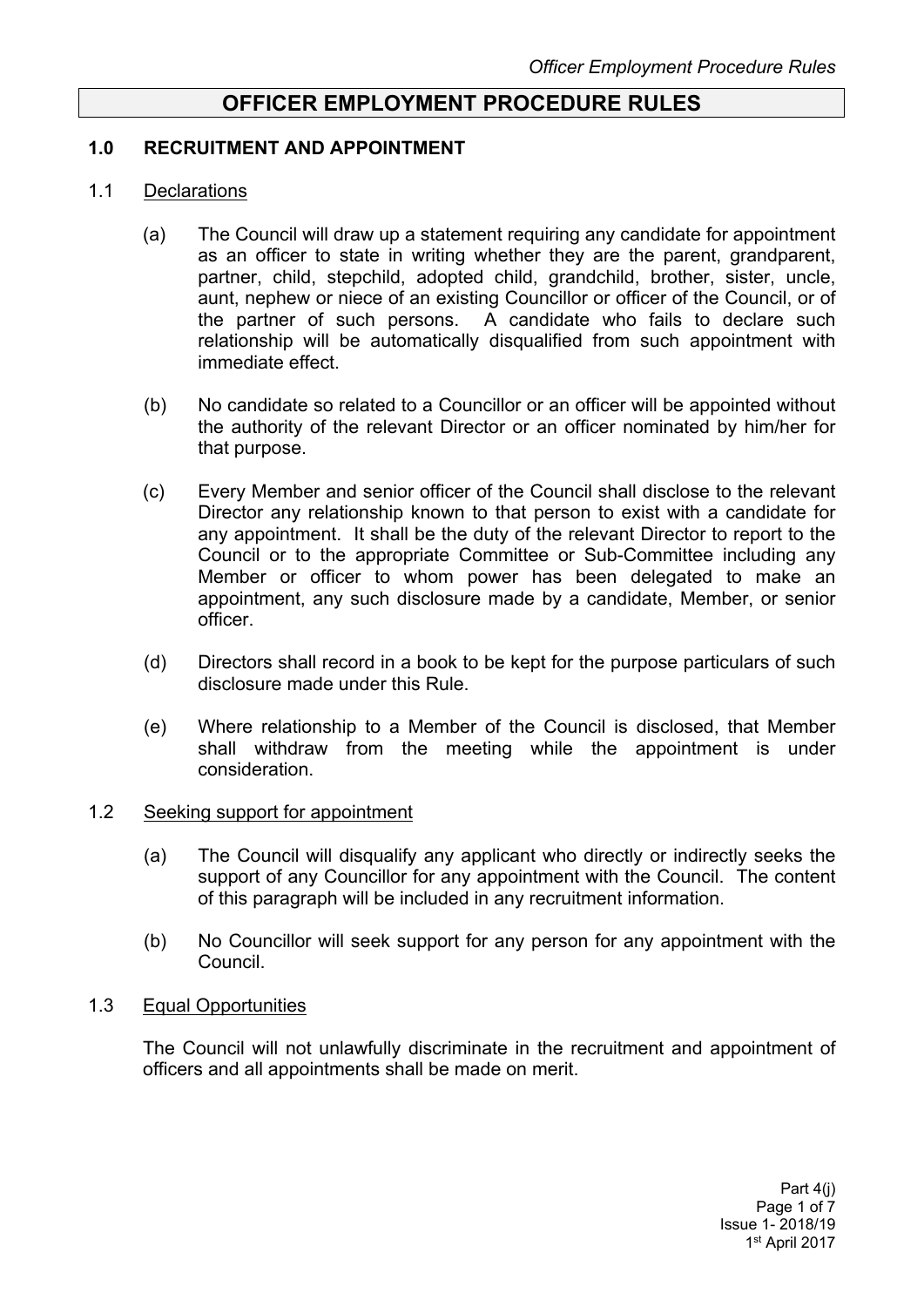# **OFFICER EMPLOYMENT PROCEDURE RULES**

#### **1.0 RECRUITMENT AND APPOINTMENT**

#### 1.1 Declarations

- (a) The Council will draw up a statement requiring any candidate for appointment as an officer to state in writing whether they are the parent, grandparent, partner, child, stepchild, adopted child, grandchild, brother, sister, uncle, aunt, nephew or niece of an existing Councillor or officer of the Council, or of the partner of such persons. A candidate who fails to declare such relationship will be automatically disqualified from such appointment with immediate effect.
- (b) No candidate so related to a Councillor or an officer will be appointed without the authority of the relevant Director or an officer nominated by him/her for that purpose.
- (c) Every Member and senior officer of the Council shall disclose to the relevant Director any relationship known to that person to exist with a candidate for any appointment. It shall be the duty of the relevant Director to report to the Council or to the appropriate Committee or Sub-Committee including any Member or officer to whom power has been delegated to make an appointment, any such disclosure made by a candidate, Member, or senior officer.
- (d) Directors shall record in a book to be kept for the purpose particulars of such disclosure made under this Rule.
- (e) Where relationship to a Member of the Council is disclosed, that Member shall withdraw from the meeting while the appointment is under consideration.

#### 1.2 Seeking support for appointment

- (a) The Council will disqualify any applicant who directly or indirectly seeks the support of any Councillor for any appointment with the Council. The content of this paragraph will be included in any recruitment information.
- (b) No Councillor will seek support for any person for any appointment with the Council.

#### 1.3 Equal Opportunities

The Council will not unlawfully discriminate in the recruitment and appointment of officers and all appointments shall be made on merit.

> Part 4(j) Page 1 of 7 Issue 1- 2018/19 1 st April 2017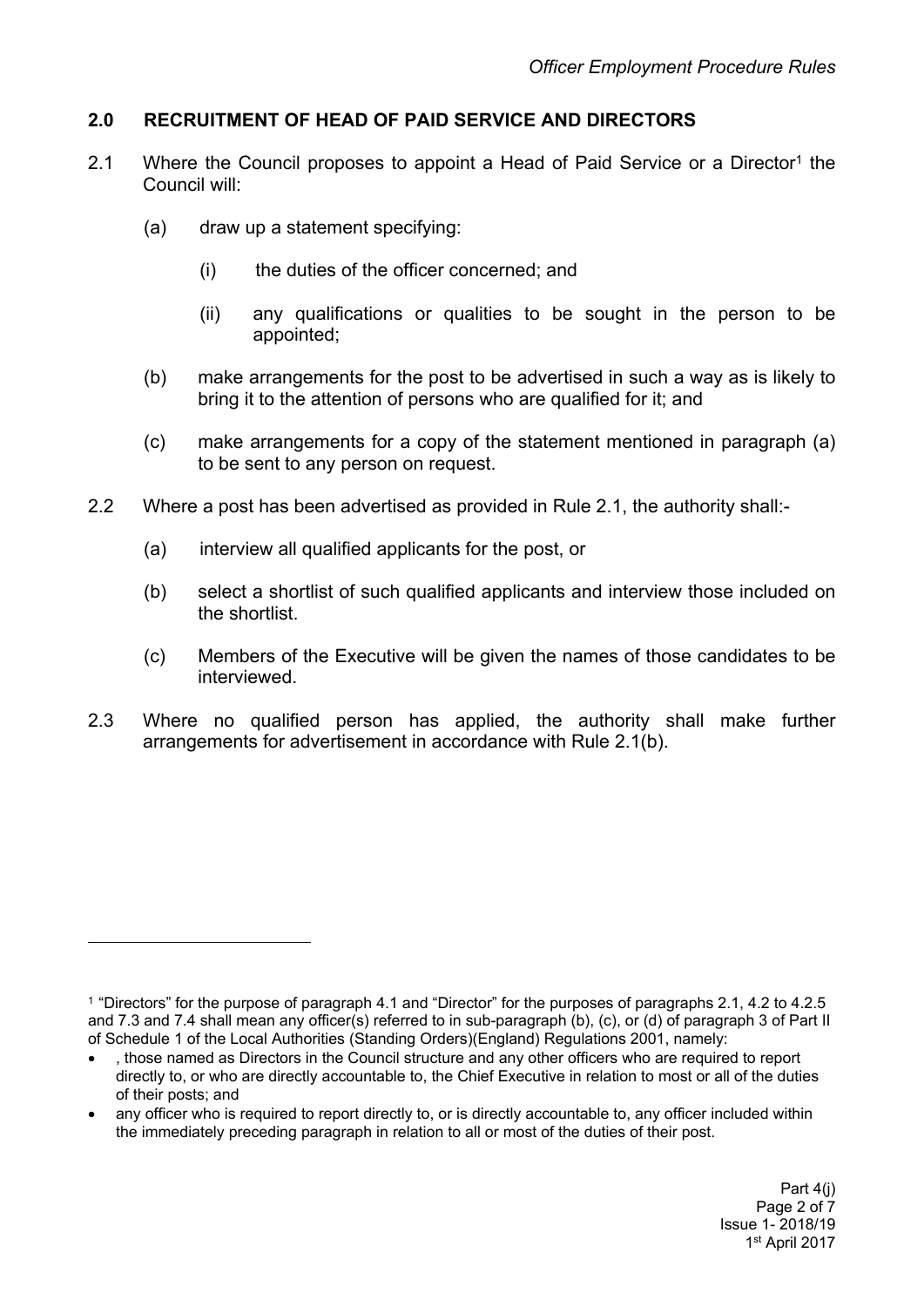# **2.0 RECRUITMENT OF HEAD OF PAID SERVICE AND DIRECTORS**

- 2.1 Where the Council proposes to appoint a Head of Paid Service or a Director<sup>1</sup> the Council will:
	- (a) draw up a statement specifying:
		- (i) the duties of the officer concerned; and
		- (ii) any qualifications or qualities to be sought in the person to be appointed;
	- (b) make arrangements for the post to be advertised in such a way as is likely to bring it to the attention of persons who are qualified for it; and
	- (c) make arrangements for a copy of the statement mentioned in paragraph (a) to be sent to any person on request.
- 2.2 Where a post has been advertised as provided in Rule 2.1, the authority shall:-
	- (a) interview all qualified applicants for the post, or
	- (b) select a shortlist of such qualified applicants and interview those included on the shortlist.
	- (c) Members of the Executive will be given the names of those candidates to be interviewed.
- 2.3 Where no qualified person has applied, the authority shall make further arrangements for advertisement in accordance with Rule 2.1(b).

<sup>1</sup> "Directors" for the purpose of paragraph 4.1 and "Director" for the purposes of paragraphs 2.1, 4.2 to 4.2.5 and 7.3 and 7.4 shall mean any officer(s) referred to in sub-paragraph (b), (c), or (d) of paragraph 3 of Part II of Schedule 1 of the Local Authorities (Standing Orders)(England) Regulations 2001, namely:

, those named as Directors in the Council structure and any other officers who are required to report directly to, or who are directly accountable to, the Chief Executive in relation to most or all of the duties of their posts; and

any officer who is required to report directly to, or is directly accountable to, any officer included within the immediately preceding paragraph in relation to all or most of the duties of their post.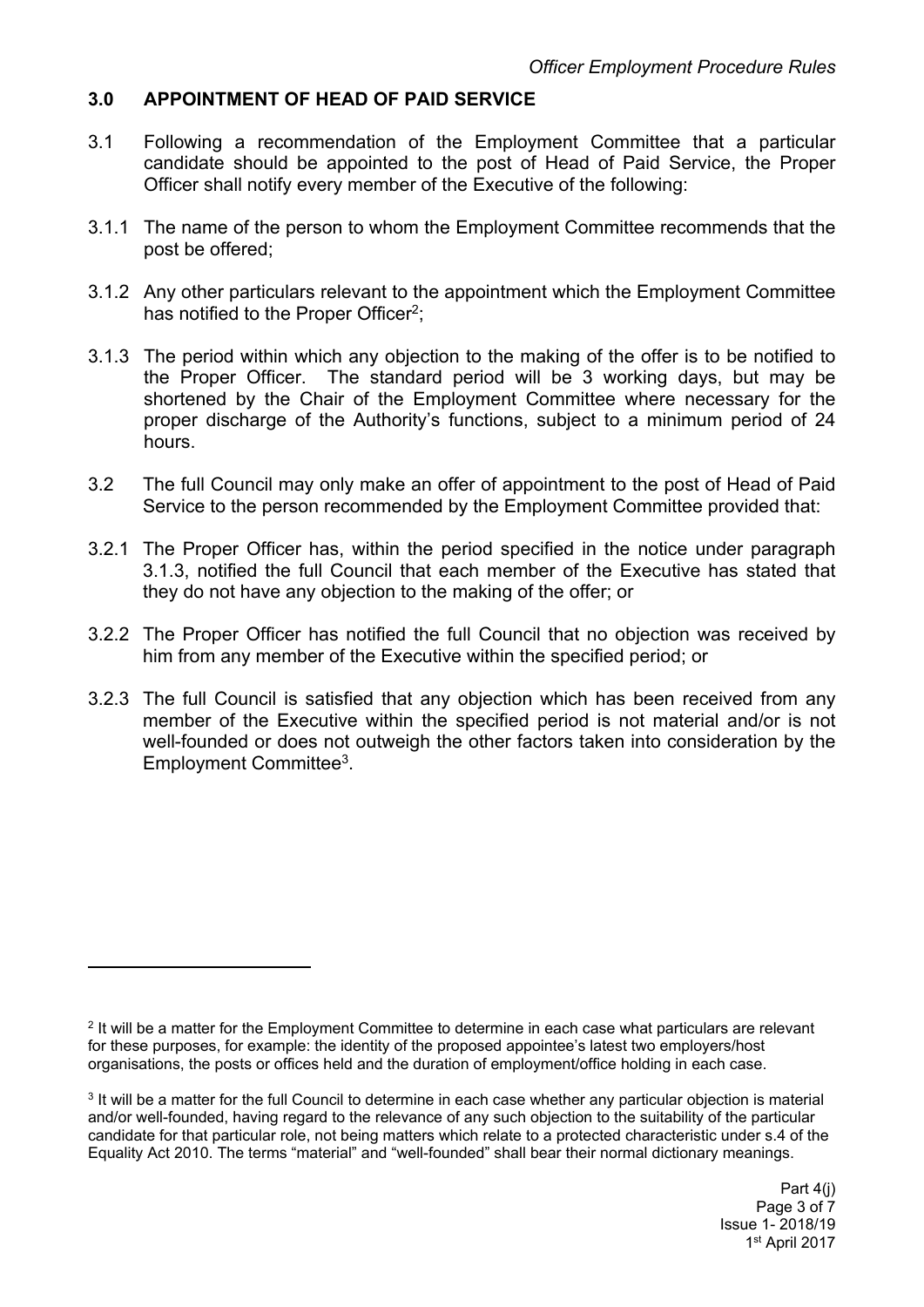# **3.0 APPOINTMENT OF HEAD OF PAID SERVICE**

- 3.1 Following a recommendation of the Employment Committee that a particular candidate should be appointed to the post of Head of Paid Service, the Proper Officer shall notify every member of the Executive of the following:
- 3.1.1 The name of the person to whom the Employment Committee recommends that the post be offered;
- 3.1.2 Any other particulars relevant to the appointment which the Employment Committee has notified to the Proper Officer<sup>2</sup>;
- 3.1.3 The period within which any objection to the making of the offer is to be notified to the Proper Officer. The standard period will be 3 working days, but may be shortened by the Chair of the Employment Committee where necessary for the proper discharge of the Authority's functions, subject to a minimum period of 24 hours.
- 3.2 The full Council may only make an offer of appointment to the post of Head of Paid Service to the person recommended by the Employment Committee provided that:
- 3.2.1 The Proper Officer has, within the period specified in the notice under paragraph 3.1.3, notified the full Council that each member of the Executive has stated that they do not have any objection to the making of the offer; or
- 3.2.2 The Proper Officer has notified the full Council that no objection was received by him from any member of the Executive within the specified period; or
- 3.2.3 The full Council is satisfied that any objection which has been received from any member of the Executive within the specified period is not material and/or is not well-founded or does not outweigh the other factors taken into consideration by the Employment Committee<sup>3</sup>.

<sup>2</sup> It will be a matter for the Employment Committee to determine in each case what particulars are relevant for these purposes, for example: the identity of the proposed appointee's latest two employers/host organisations, the posts or offices held and the duration of employment/office holding in each case.

<sup>3</sup> It will be a matter for the full Council to determine in each case whether any particular objection is material and/or well-founded, having regard to the relevance of any such objection to the suitability of the particular candidate for that particular role, not being matters which relate to a protected characteristic under s.4 of the Equality Act 2010. The terms "material" and "well-founded" shall bear their normal dictionary meanings.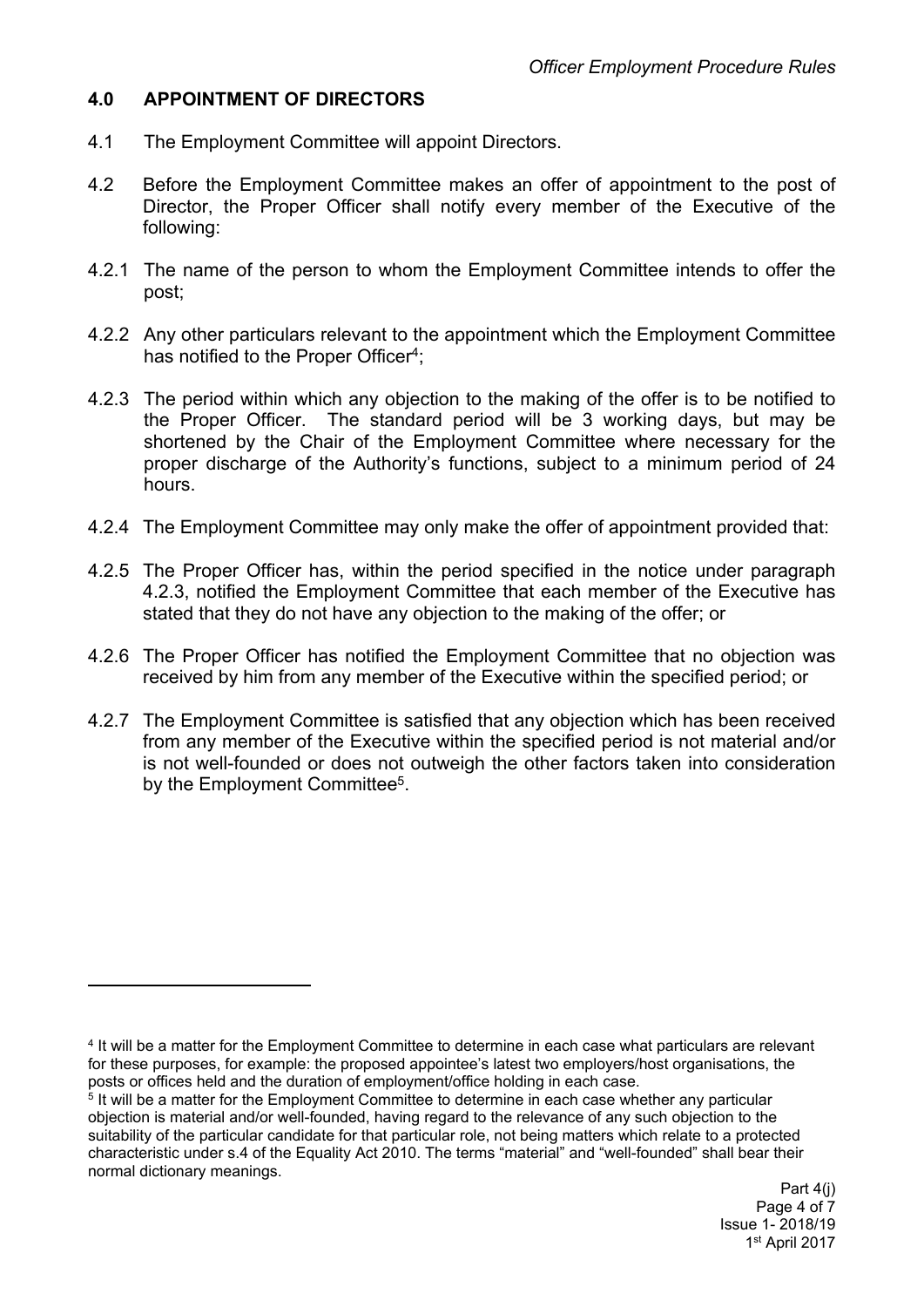# **4.0 APPOINTMENT OF DIRECTORS**

- 4.1 The Employment Committee will appoint Directors.
- 4.2 Before the Employment Committee makes an offer of appointment to the post of Director, the Proper Officer shall notify every member of the Executive of the following:
- 4.2.1 The name of the person to whom the Employment Committee intends to offer the post;
- 4.2.2 Any other particulars relevant to the appointment which the Employment Committee has notified to the Proper Officer<sup>4</sup>;
- 4.2.3 The period within which any objection to the making of the offer is to be notified to the Proper Officer. The standard period will be 3 working days, but may be shortened by the Chair of the Employment Committee where necessary for the proper discharge of the Authority's functions, subject to a minimum period of 24 hours.
- 4.2.4 The Employment Committee may only make the offer of appointment provided that:
- 4.2.5 The Proper Officer has, within the period specified in the notice under paragraph 4.2.3, notified the Employment Committee that each member of the Executive has stated that they do not have any objection to the making of the offer; or
- 4.2.6 The Proper Officer has notified the Employment Committee that no objection was received by him from any member of the Executive within the specified period; or
- 4.2.7 The Employment Committee is satisfied that any objection which has been received from any member of the Executive within the specified period is not material and/or is not well-founded or does not outweigh the other factors taken into consideration by the Employment Committee<sup>5</sup>.

<sup>4</sup> It will be a matter for the Employment Committee to determine in each case what particulars are relevant for these purposes, for example: the proposed appointee's latest two employers/host organisations, the posts or offices held and the duration of employment/office holding in each case.

<sup>&</sup>lt;sup>5</sup> It will be a matter for the Employment Committee to determine in each case whether any particular objection is material and/or well-founded, having regard to the relevance of any such objection to the suitability of the particular candidate for that particular role, not being matters which relate to a protected characteristic under s.4 of the Equality Act 2010. The terms "material" and "well-founded" shall bear their normal dictionary meanings.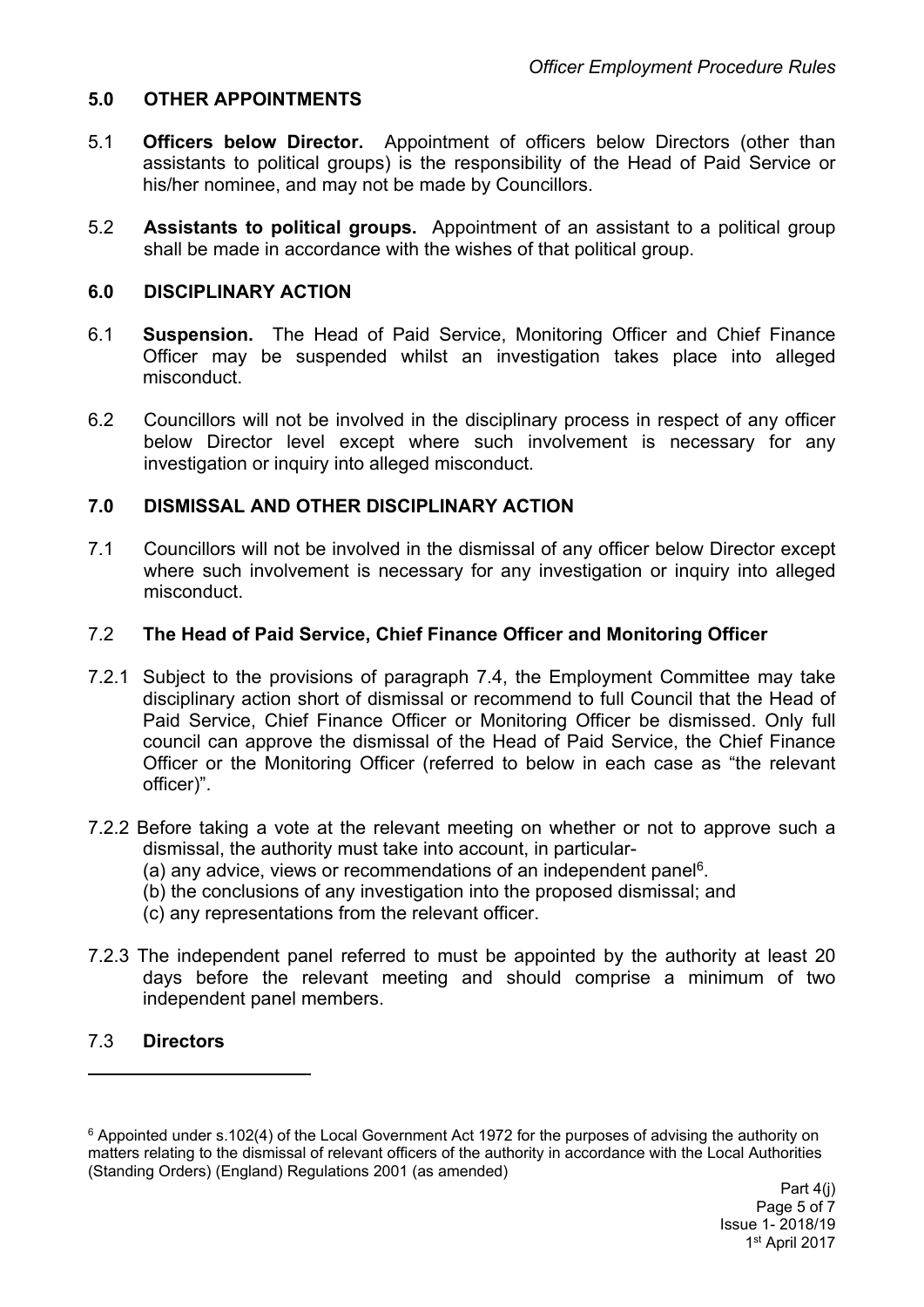## **5.0 OTHER APPOINTMENTS**

- 5.1 **Officers below Director.** Appointment of officers below Directors (other than assistants to political groups) is the responsibility of the Head of Paid Service or his/her nominee, and may not be made by Councillors.
- 5.2 **Assistants to political groups.** Appointment of an assistant to a political group shall be made in accordance with the wishes of that political group.

### **6.0 DISCIPLINARY ACTION**

- 6.1 **Suspension.** The Head of Paid Service, Monitoring Officer and Chief Finance Officer may be suspended whilst an investigation takes place into alleged misconduct.
- 6.2 Councillors will not be involved in the disciplinary process in respect of any officer below Director level except where such involvement is necessary for any investigation or inquiry into alleged misconduct.

## **7.0 DISMISSAL AND OTHER DISCIPLINARY ACTION**

7.1 Councillors will not be involved in the dismissal of any officer below Director except where such involvement is necessary for any investigation or inquiry into alleged misconduct.

#### 7.2 **The Head of Paid Service, Chief Finance Officer and Monitoring Officer**

- 7.2.1 Subject to the provisions of paragraph 7.4, the Employment Committee may take disciplinary action short of dismissal or recommend to full Council that the Head of Paid Service, Chief Finance Officer or Monitoring Officer be dismissed. Only full council can approve the dismissal of the Head of Paid Service, the Chief Finance Officer or the Monitoring Officer (referred to below in each case as "the relevant officer)".
- 7.2.2 Before taking a vote at the relevant meeting on whether or not to approve such a dismissal, the authority must take into account, in particular-
	- (a) any advice, views or recommendations of an independent panel<sup>6</sup>.
	- (b) the conclusions of any investigation into the proposed dismissal; and
	- (c) any representations from the relevant officer.
- 7.2.3 The independent panel referred to must be appointed by the authority at least 20 days before the relevant meeting and should comprise a minimum of two independent panel members.

#### 7.3 **Directors**

<sup>6</sup> Appointed under s.102(4) of the Local Government Act 1972 for the purposes of advising the authority on matters relating to the dismissal of relevant officers of the authority in accordance with the Local Authorities (Standing Orders) (England) Regulations 2001 (as amended)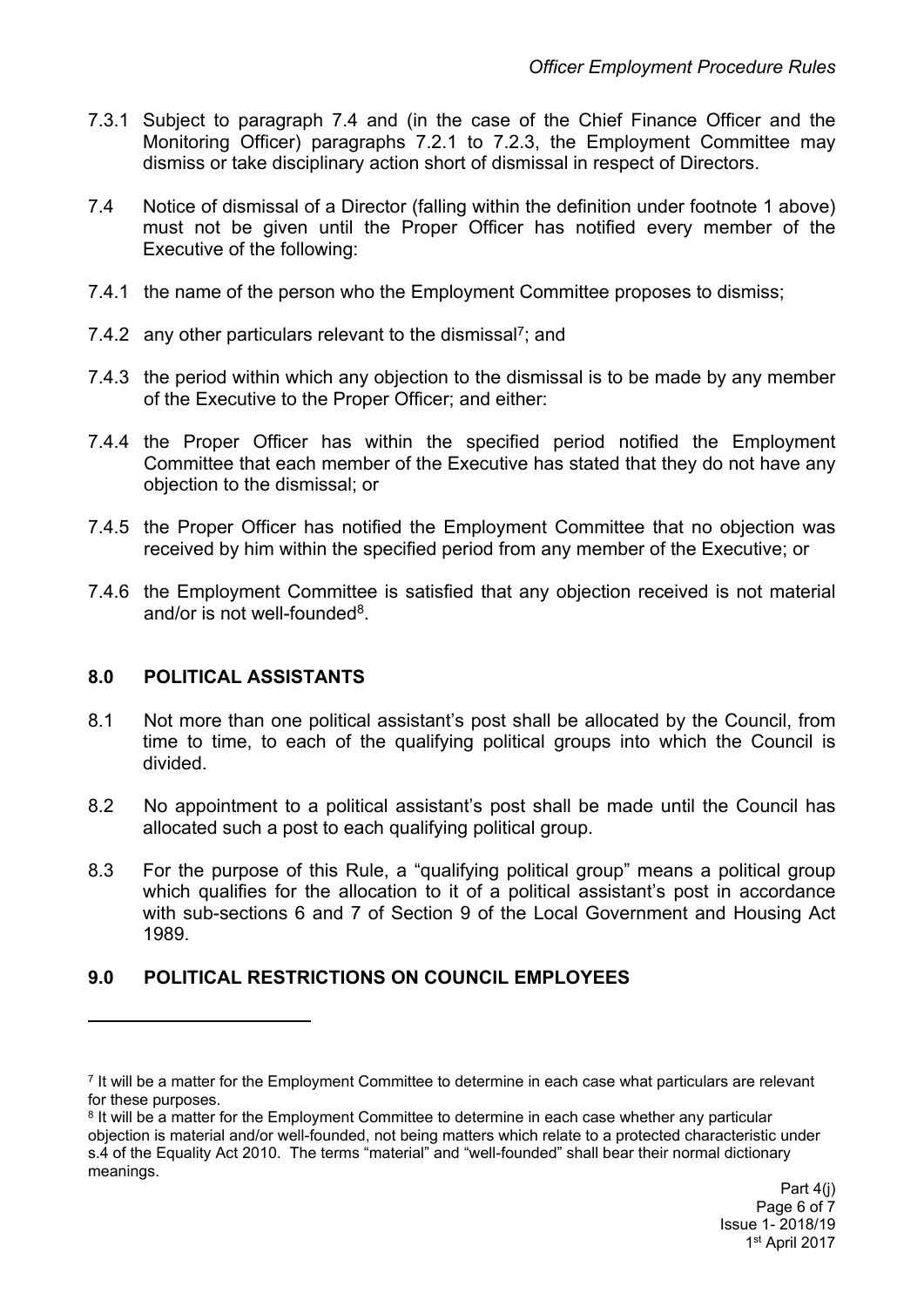- 7.3.1 Subject to paragraph 7.4 and (in the case of the Chief Finance Officer and the Monitoring Officer) paragraphs 7.2.1 to 7.2.3, the Employment Committee may dismiss or take disciplinary action short of dismissal in respect of Directors.
- 7.4 Notice of dismissal of a Director (falling within the definition under footnote 1 above) must not be given until the Proper Officer has notified every member of the Executive of the following:
- 7.4.1 the name of the person who the Employment Committee proposes to dismiss;
- 7.4.2 any other particulars relevant to the dismissal<sup>7</sup>; and
- 7.4.3 the period within which any objection to the dismissal is to be made by any member of the Executive to the Proper Officer; and either:
- 7.4.4 the Proper Officer has within the specified period notified the Employment Committee that each member of the Executive has stated that they do not have any objection to the dismissal; or
- 7.4.5 the Proper Officer has notified the Employment Committee that no objection was received by him within the specified period from any member of the Executive; or
- 7.4.6 the Employment Committee is satisfied that any objection received is not material and/or is not well-founded<sup>8</sup>.

#### **8.0 POLITICAL ASSISTANTS**

- 8.1 Not more than one political assistant's post shall be allocated by the Council, from time to time, to each of the qualifying political groups into which the Council is divided.
- 8.2 No appointment to a political assistant's post shall be made until the Council has allocated such a post to each qualifying political group.
- 8.3 For the purpose of this Rule, a "qualifying political group" means a political group which qualifies for the allocation to it of a political assistant's post in accordance with sub-sections 6 and 7 of Section 9 of the Local Government and Housing Act 1989.

# **9.0 POLITICAL RESTRICTIONS ON COUNCIL EMPLOYEES**

<sup>7</sup> It will be a matter for the Employment Committee to determine in each case what particulars are relevant for these purposes.

<sup>&</sup>lt;sup>8</sup> It will be a matter for the Employment Committee to determine in each case whether any particular objection is material and/or well-founded, not being matters which relate to a protected characteristic under s.4 of the Equality Act 2010. The terms "material" and "well-founded" shall bear their normal dictionary meanings.